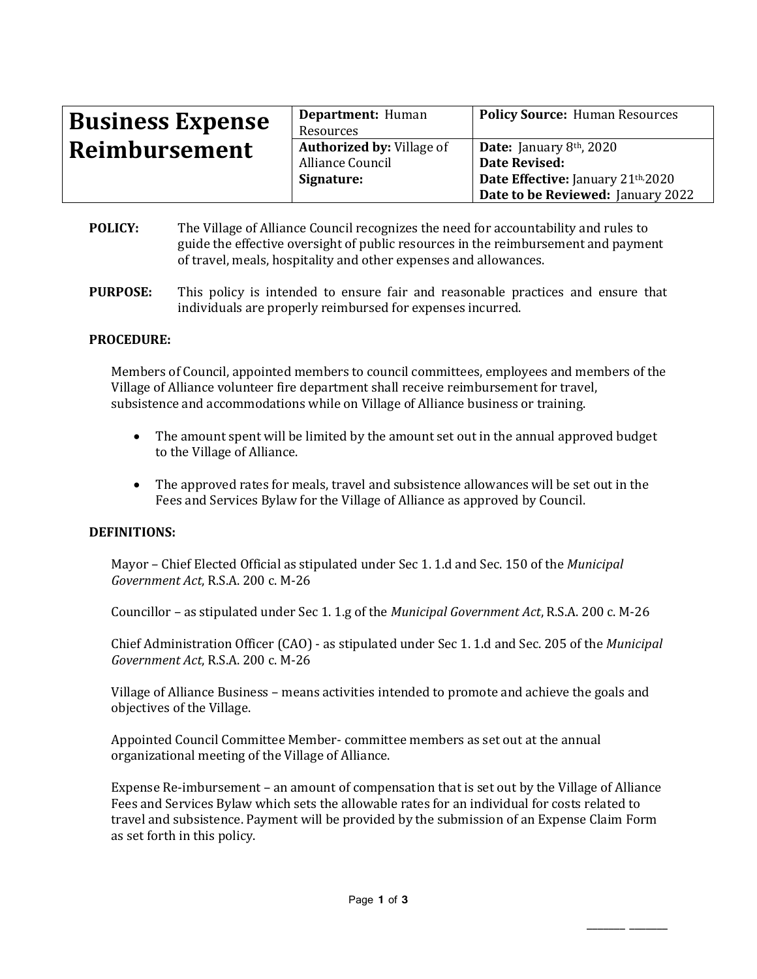| <b>Business Expense</b> | Department: Human                | <b>Policy Source: Human Resources</b> |
|-------------------------|----------------------------------|---------------------------------------|
|                         | Resources                        |                                       |
| Reimbursement           | <b>Authorized by: Village of</b> | <b>Date:</b> January $8th$ , 2020     |
|                         | Alliance Council                 | Date Revised:                         |
|                         | Signature:                       | Date Effective: January 21th, 2020    |
|                         |                                  | Date to be Reviewed: January 2022     |

- **POLICY:** The Village of Alliance Council recognizes the need for accountability and rules to guide the effective oversight of public resources in the reimbursement and payment of travel, meals, hospitality and other expenses and allowances.
- **PURPOSE:** This policy is intended to ensure fair and reasonable practices and ensure that individuals are properly reimbursed for expenses incurred.

### **PROCEDURE:**

Members of Council, appointed members to council committees, employees and members of the Village of Alliance volunteer fire department shall receive reimbursement for travel, subsistence and accommodations while on Village of Alliance business or training.

- The amount spent will be limited by the amount set out in the annual approved budget to the Village of Alliance.
- The approved rates for meals, travel and subsistence allowances will be set out in the Fees and Services Bylaw for the Village of Alliance as approved by Council.

### **DEFINITIONS:**

Mayor – Chief Elected Official as stipulated under Sec 1. 1.d and Sec. 150 of the *Municipal Government Act*, R.S.A. 200 c. M-26

Councillor – as stipulated under Sec 1. 1.g of the *Municipal Government Act*, R.S.A. 200 c. M-26

Chief Administration Officer (CAO) - as stipulated under Sec 1. 1.d and Sec. 205 of the *Municipal Government Act*, R.S.A. 200 c. M-26

Village of Alliance Business – means activities intended to promote and achieve the goals and objectives of the Village.

Appointed Council Committee Member- committee members as set out at the annual organizational meeting of the Village of Alliance.

Expense Re-imbursement – an amount of compensation that is set out by the Village of Alliance Fees and Services Bylaw which sets the allowable rates for an individual for costs related to travel and subsistence. Payment will be provided by the submission of an Expense Claim Form as set forth in this policy.

\_\_\_\_\_\_\_ \_\_\_\_\_\_\_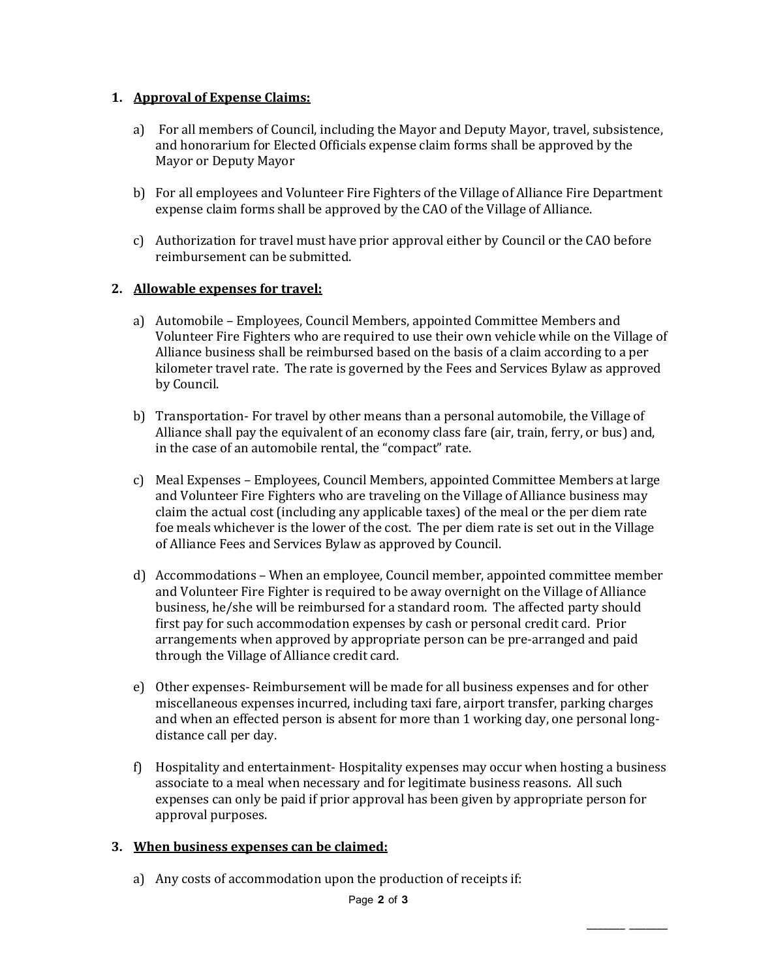# **1. Approval of Expense Claims:**

- a) For all members of Council, including the Mayor and Deputy Mayor, travel, subsistence, and honorarium for Elected Officials expense claim forms shall be approved by the Mayor or Deputy Mayor
- b) For all employees and Volunteer Fire Fighters of the Village of Alliance Fire Department expense claim forms shall be approved by the CAO of the Village of Alliance.
- c) Authorization for travel must have prior approval either by Council or the CAO before reimbursement can be submitted.

# **2. Allowable expenses for travel:**

- a) Automobile Employees, Council Members, appointed Committee Members and Volunteer Fire Fighters who are required to use their own vehicle while on the Village of Alliance business shall be reimbursed based on the basis of a claim according to a per kilometer travel rate. The rate is governed by the Fees and Services Bylaw as approved by Council.
- b) Transportation- For travel by other means than a personal automobile, the Village of Alliance shall pay the equivalent of an economy class fare (air, train, ferry, or bus) and, in the case of an automobile rental, the "compact" rate.
- c) Meal Expenses Employees, Council Members, appointed Committee Members at large and Volunteer Fire Fighters who are traveling on the Village of Alliance business may claim the actual cost (including any applicable taxes) of the meal or the per diem rate foe meals whichever is the lower of the cost. The per diem rate is set out in the Village of Alliance Fees and Services Bylaw as approved by Council.
- d) Accommodations When an employee, Council member, appointed committee member and Volunteer Fire Fighter is required to be away overnight on the Village of Alliance business, he/she will be reimbursed for a standard room. The affected party should first pay for such accommodation expenses by cash or personal credit card. Prior arrangements when approved by appropriate person can be pre-arranged and paid through the Village of Alliance credit card.
- e) Other expenses- Reimbursement will be made for all business expenses and for other miscellaneous expenses incurred, including taxi fare, airport transfer, parking charges and when an effected person is absent for more than 1 working day, one personal longdistance call per day.
- f) Hospitality and entertainment- Hospitality expenses may occur when hosting a business associate to a meal when necessary and for legitimate business reasons. All such expenses can only be paid if prior approval has been given by appropriate person for approval purposes.

\_\_\_\_\_\_\_ \_\_\_\_\_\_\_

## **3. When business expenses can be claimed:**

a) Any costs of accommodation upon the production of receipts if: